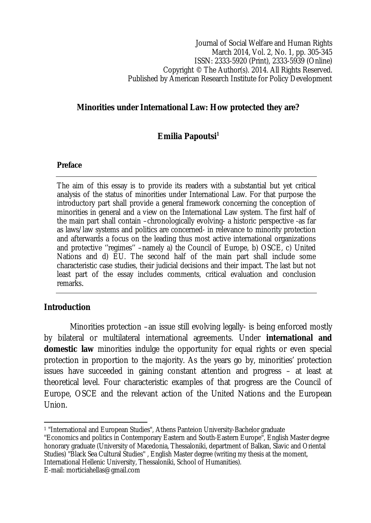Journal of Social Welfare and Human Rights March 2014, Vol. 2, No. 1, pp. 305-345 ISSN: 2333-5920 (Print), 2333-5939 (Online) Copyright © The Author(s). 2014. All Rights Reserved. Published by American Research Institute for Policy Development

#### **Minorities under International Law: How protected they are?**

## **Emilia Papoutsi<sup>1</sup>**

#### **Preface**

The aim of this essay is to provide its readers with a substantial but yet critical analysis of the status of minorities under International Law. For that purpose the introductory part shall provide a general framework concerning the conception of minorities in general and a view on the International Law system. The first half of the main part shall contain –chronologically evolving- a historic perspective -as far as laws/law systems and politics are concerned- in relevance to minority protection and afterwards a focus on the leading thus most active international organizations and protective ''regimes'' –namely a) the Council of Europe, b) OSCE, c) United Nations and d) EU. The second half of the main part shall include some characteristic case studies, their judicial decisions and their impact. The last but not least part of the essay includes comments, critical evaluation and conclusion remarks*.* 

#### **Introduction**

Minorities protection –an issue still evolving legally- is being enforced mostly by bilateral or multilateral international agreements. Under **international and domestic law** minorities indulge the opportunity for equal rights or even special protection in proportion to the majority. As the years go by, minorities' protection issues have succeeded in gaining constant attention and progress – at least at theoretical level. Four characteristic examples of that progress are the Council of Europe, OSCE and the relevant action of the United Nations and the European Union.

 $\overline{a}$ 1 ''International and European Studies'', Athens Panteion University-Bachelor graduate

<sup>&#</sup>x27;'Economics and politics in Contemporary Eastern and South-Eastern Europe'', English Master degree honorary graduate (University of Macedonia, Thessaloniki, department of Balkan, Slavic and Oriental Studies) ''Black Sea Cultural Studies'' , English Master degree (writing my thesis at the moment, International Hellenic University, Thessaloniki, School of Humanities).

E-mail: morticiahellas@gmail.com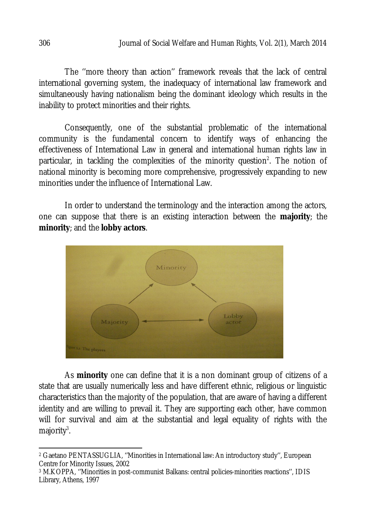The ''more theory than action'' framework reveals that the lack of central international governing system, the inadequacy of international law framework and simultaneously having nationalism being the dominant ideology which results in the inability to protect minorities and their rights.

Consequently, one of the substantial problematic of the international community is the fundamental concern to identify ways of enhancing the effectiveness of International Law in general and international human rights law in particular, in tackling the complexities of the minority question<sup>2</sup>. The notion of national minority is becoming more comprehensive, progressively expanding to new minorities under the influence of International Law.

In order to understand the terminology and the interaction among the actors, one can suppose that there is an existing interaction between the **majority**; the **minority**; and the **lobby actors**.



As **minority** one can define that it is a non dominant group of citizens of a state that are usually numerically less and have different ethnic, religious or linguistic characteristics than the majority of the population, that are aware of having a different identity and are willing to prevail it. They are supporting each other, have common will for survival and aim at the substantial and legal equality of rights with the majority $^3$ .

 $\overline{a}$ <sup>2</sup> Gaetano PENTASSUGLIA, ''Minorities in International law: An introductory study'', European Centre for Minority Issues, 2002

<sup>3</sup> M.KOPPA, ''Minorities in post-communist Balkans: central policies-minorities reactions'', IDIS Library, Athens, 1997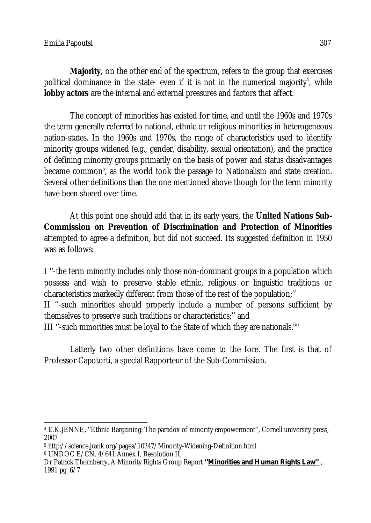**Majority,** on the other end of the spectrum, refers to the group that exercises political dominance in the state-even if it is not in the numerical majority<sup>4</sup>, while **lobby actors** are the internal and external pressures and factors that affect.

The concept of minorities has existed for time, and until the 1960s and 1970s the term generally referred to national, ethnic or religious minorities in heterogeneous nation-states. In the 1960s and 1970s, the range of characteristics used to identify minority groups widened (e.g., gender, disability, sexual orientation), and the practice of defining minority groups primarily on the basis of power and status disadvantages became common<sup>5</sup>, as the world took the passage to Nationalism and state creation. Several other definitions than the one mentioned above though for the term minority have been shared over time.

At this point one should add that in its early years, the **United Nations Sub-Commission on Prevention of Discrimination and Protection of Minorities** attempted to agree a definition, but did not succeed. Its suggested definition in 1950 was as follows:

I ''-the term minority includes only those non-dominant groups in a population which possess and wish to preserve stable ethnic, religious or linguistic traditions or characteristics markedly different from those of the rest of the population;'' II ''-such minorities should properly include a number of persons sufficient by themselves to preserve such traditions or characteristics;'' and III "-such minorities must be loyal to the State of which they are nationals.<sup>611</sup>

Latterly two other definitions have come to the fore. The first is that of Professor Capotorti, a special Rapporteur of the Sub-Commission.

 $\overline{a}$ <sup>4</sup> E.K.JENNE, ''Ethnic Bargaining: The paradox of minority empowerment'', Cornell university press, 2007

<sup>5</sup> http://science.jrank.org/pages/10247/Minority-Widening-Definition.html

<sup>6</sup> UNDOC E/CN. 4/641 Annex I, Resolution II,

Dr Patrick Thornberry, A Minority Rights Group Report *''Minorities and Human Rights Law''* , 1991 pg. 6/7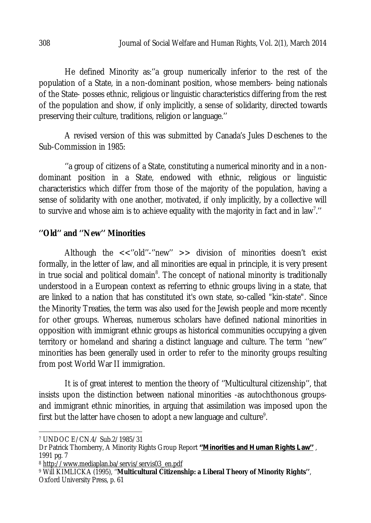He defined Minority as:''a group numerically inferior to the rest of the population of a State, in a non-dominant position, whose members- being nationals of the State- posses ethnic, religious or linguistic characteristics differing from the rest of the population and show, if only implicitly, a sense of solidarity, directed towards preserving their culture, traditions, religion or language.''

A revised version of this was submitted by Canada's Jules Deschenes to the Sub-Commission in 1985:

''a group of citizens of a State, constituting a numerical minority and in a nondominant position in a State, endowed with ethnic, religious or linguistic characteristics which differ from those of the majority of the population, having a sense of solidarity with one another, motivated, if only implicitly, by a collective will to survive and whose aim is to achieve equality with the majority in fact and in law<sup>7</sup>.''

## **''Old'' and ''New'' Minorities**

Although the <<"old"-"new" >> division of minorities doesn't exist formally, in the letter of law, and all minorities are equal in principle, it is very present in true social and political domain<sup>8</sup>. The concept of national minority is traditionally understood in a European context as referring to ethnic groups living in a state, that are linked to a nation that has constituted it's own state, so-called "kin-state". Since the Minority Treaties, the term was also used for the Jewish people and more recently for other groups. Whereas, numerous scholars have defined national minorities in opposition with immigrant ethnic groups as historical communities occupying a given territory or homeland and sharing a distinct language and culture. The term ''new'' minorities has been generally used in order to refer to the minority groups resulting from post World War II immigration.

It is of great interest to mention the theory of ''Multicultural citizenship'', that insists upon the distinction between national minorities -as autochthonous groupsand immigrant ethnic minorities, in arguing that assimilation was imposed upon the first but the latter have chosen to adopt a new language and culture $^{\circ}$ .

 $\overline{a}$ <sup>7</sup> UNDOC E/CN.4/ Sub.2/1985/31

Dr Patrick Thornberry, A Minority Rights Group Report *''Minorities and Human Rights Law''* , 1991 pg. 7

<sup>8</sup> http://www.mediaplan.ba/servis/servis03\_en.pdf

<sup>9</sup> Will KIMLICKA (1995), ''**Multicultural Citizenship: a Liberal Theory of Minority Rights''**, Oxford University Press, p. 61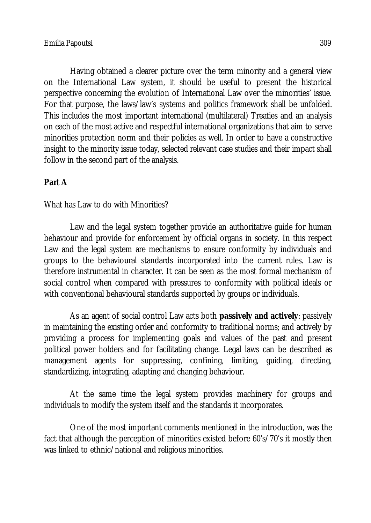Having obtained a clearer picture over the term minority and a general view on the International Law system, it should be useful to present the historical perspective concerning the evolution of International Law over the minorities' issue. For that purpose, the laws/law's systems and politics framework shall be unfolded. This includes the most important international (multilateral) Treaties and an analysis on each of the most active and respectful international organizations that aim to serve minorities protection norm and their policies as well. In order to have a constructive insight to the minority issue today, selected relevant case studies and their impact shall follow in the second part of the analysis.

## **Part A**

What has Law to do with Minorities?

Law and the legal system together provide an authoritative guide for human behaviour and provide for enforcement by official organs in society. In this respect Law and the legal system are mechanisms to ensure conformity by individuals and groups to the behavioural standards incorporated into the current rules. Law is therefore instrumental in character. It can be seen as the most formal mechanism of social control when compared with pressures to conformity with political ideals or with conventional behavioural standards supported by groups or individuals.

As an agent of social control Law acts both **passively and actively**: passively in maintaining the existing order and conformity to traditional norms; and actively by providing a process for implementing goals and values of the past and present political power holders and for facilitating change. Legal laws can be described as management agents for suppressing, confining, limiting, guiding, directing, standardizing, integrating, adapting and changing behaviour.

At the same time the legal system provides machinery for groups and individuals to modify the system itself and the standards it incorporates.

One of the most important comments mentioned in the introduction, was the fact that although the perception of minorities existed before 60's/70's it mostly then was linked to ethnic/national and religious minorities.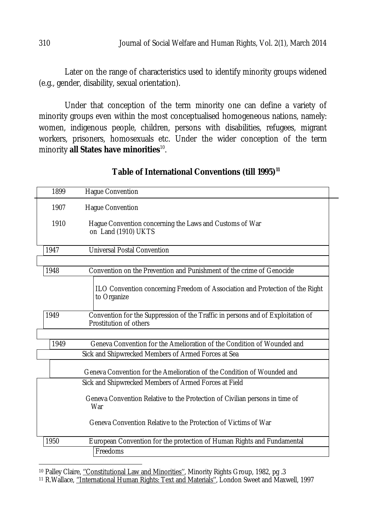Later on the range of characteristics used to identify minority groups widened (e.g., gender, disability, sexual orientation).

Under that conception of the term minority one can define a variety of minority groups even within the most conceptualised homogeneous nations, namely: women, indigenous people, children, persons with disabilities, refugees, migrant workers, prisoners, homosexuals etc. Under the wider conception of the term minority **all States have minorities**<sup>10</sup> .

| 1899                                                                                                              | Hague Convention                                                                            |  |  |  |
|-------------------------------------------------------------------------------------------------------------------|---------------------------------------------------------------------------------------------|--|--|--|
| 1907                                                                                                              | <b>Hague Convention</b>                                                                     |  |  |  |
| 1910                                                                                                              | Hague Convention concerning the Laws and Customs of War<br>on Land (1910) UKTS              |  |  |  |
| 1947                                                                                                              | <b>Universal Postal Convention</b>                                                          |  |  |  |
|                                                                                                                   |                                                                                             |  |  |  |
| 1948                                                                                                              | Convention on the Prevention and Punishment of the crime of Genocide                        |  |  |  |
|                                                                                                                   | ILO Convention concerning Freedom of Association and Protection of the Right<br>to Organize |  |  |  |
| 1949<br>Convention for the Suppression of the Traffic in persons and of Exploitation of<br>Prostitution of others |                                                                                             |  |  |  |
| 1949                                                                                                              | Geneva Convention for the Amelioration of the Condition of Wounded and                      |  |  |  |
| Sick and Shipwrecked Members of Armed Forces at Sea                                                               |                                                                                             |  |  |  |
| Geneva Convention for the Amelioration of the Condition of Wounded and                                            |                                                                                             |  |  |  |
| Sick and Shipwrecked Members of Armed Forces at Field                                                             |                                                                                             |  |  |  |
|                                                                                                                   | Geneva Convention Relative to the Protection of Civilian persons in time of<br>War          |  |  |  |
|                                                                                                                   | Geneva Convention Relative to the Protection of Victims of War                              |  |  |  |
| 1950                                                                                                              | European Convention for the protection of Human Rights and Fundamental                      |  |  |  |
|                                                                                                                   | Freedoms                                                                                    |  |  |  |

## **Table of International Conventions (till 1995)<sup>11</sup>**

 $\overline{a}$ <sup>10</sup> Palley Claire, <u>''Constitutional Law and Minorities'',</u> Minority Rights Group, 1982, pg .3

<sup>11</sup> R.Wallace, ''International Human Rights: Text and Materials'', London Sweet and Maxwell, 1997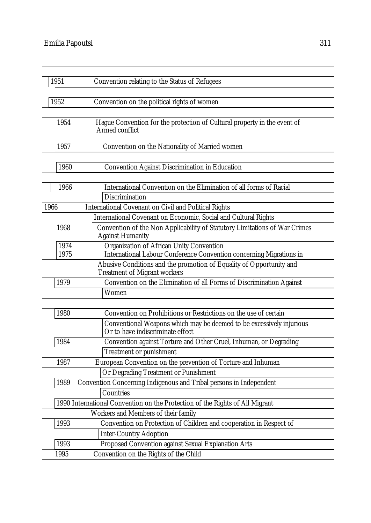| 1951 |                                                                              | Convention relating to the Status of Refugees                                                              |  |  |  |
|------|------------------------------------------------------------------------------|------------------------------------------------------------------------------------------------------------|--|--|--|
|      |                                                                              |                                                                                                            |  |  |  |
|      | 1952                                                                         | Convention on the political rights of women                                                                |  |  |  |
|      |                                                                              |                                                                                                            |  |  |  |
|      | 1954                                                                         | Hague Convention for the protection of Cultural property in the event of<br>Armed conflict                 |  |  |  |
|      | 1957                                                                         | Convention on the Nationality of Married women                                                             |  |  |  |
|      | 1960                                                                         | Convention Against Discrimination in Education                                                             |  |  |  |
|      | 1966                                                                         | International Convention on the Elimination of all forms of Racial                                         |  |  |  |
|      |                                                                              | Discrimination                                                                                             |  |  |  |
| 1966 |                                                                              | <b>International Covenant on Civil and Political Rights</b>                                                |  |  |  |
|      |                                                                              | International Covenant on Economic, Social and Cultural Rights                                             |  |  |  |
|      | 1968                                                                         | Convention of the Non Applicability of Statutory Limitations of War Crimes<br><b>Against Humanity</b>      |  |  |  |
|      | 1974                                                                         | Organization of African Unity Convention                                                                   |  |  |  |
|      | 1975                                                                         | International Labour Conference Convention concerning Migrations in                                        |  |  |  |
|      |                                                                              | Abusive Conditions and the promotion of Equality of Opportunity and<br><b>Treatment of Migrant workers</b> |  |  |  |
|      | 1979                                                                         | Convention on the Elimination of all Forms of Discrimination Against                                       |  |  |  |
|      |                                                                              | Women                                                                                                      |  |  |  |
|      |                                                                              |                                                                                                            |  |  |  |
|      | 1980                                                                         | Convention on Prohibitions or Restrictions on the use of certain                                           |  |  |  |
|      |                                                                              | Conventional Weapons which may be deemed to be excessively injurious<br>Or to have indiscriminate effect   |  |  |  |
|      | 1984                                                                         | Convention against Torture and Other Cruel, Inhuman, or Degrading                                          |  |  |  |
|      |                                                                              | Treatment or punishment                                                                                    |  |  |  |
|      | 1987                                                                         | European Convention on the prevention of Torture and Inhuman                                               |  |  |  |
|      |                                                                              | Or Degrading Treatment or Punishment                                                                       |  |  |  |
|      | 1989                                                                         | Convention Concerning Indigenous and Tribal persons in Independent                                         |  |  |  |
|      |                                                                              | Countries                                                                                                  |  |  |  |
|      | 1990 International Convention on the Protection of the Rights of All Migrant |                                                                                                            |  |  |  |
|      | Workers and Members of their family                                          |                                                                                                            |  |  |  |
|      | 1993                                                                         | Convention on Protection of Children and cooperation in Respect of                                         |  |  |  |
|      |                                                                              | <b>Inter-Country Adoption</b>                                                                              |  |  |  |
|      | 1993                                                                         | Proposed Convention against Sexual Explanation Arts                                                        |  |  |  |
|      | 1995                                                                         | Convention on the Rights of the Child                                                                      |  |  |  |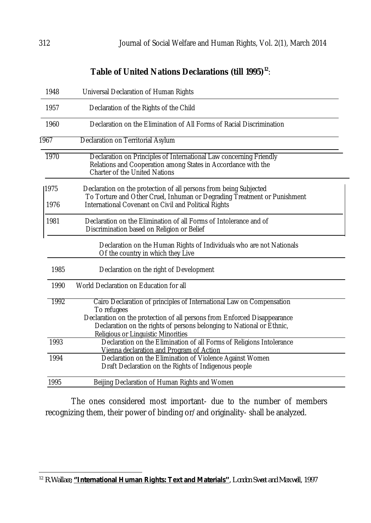## **Table of United Nations Declarations (till 1995)<sup>12</sup>**:

| 1948         | Universal Declaration of Human Rights                                                                                                                                                                                                                                          |  |  |
|--------------|--------------------------------------------------------------------------------------------------------------------------------------------------------------------------------------------------------------------------------------------------------------------------------|--|--|
| 1957         | Declaration of the Rights of the Child                                                                                                                                                                                                                                         |  |  |
| 1960         | Declaration on the Elimination of All Forms of Racial Discrimination                                                                                                                                                                                                           |  |  |
| 1967         | <b>Declaration on Territorial Asylum</b>                                                                                                                                                                                                                                       |  |  |
| 1970         | Declaration on Principles of International Law concerning Friendly<br>Relations and Cooperation among States in Accordance with the<br><b>Charter of the United Nations</b>                                                                                                    |  |  |
| 1975<br>1976 | Declaration on the protection of all persons from being Subjected<br>To Torture and Other Cruel, Inhuman or Degrading Treatment or Punishment<br><b>International Covenant on Civil and Political Rights</b>                                                                   |  |  |
| 1981         | Declaration on the Elimination of all Forms of Intolerance and of<br>Discrimination based on Religion or Belief                                                                                                                                                                |  |  |
|              | Declaration on the Human Rights of Individuals who are not Nationals<br>Of the country in which they Live                                                                                                                                                                      |  |  |
| 1985         | Declaration on the right of Development                                                                                                                                                                                                                                        |  |  |
| 1990         | World Declaration on Education for all                                                                                                                                                                                                                                         |  |  |
| 1992         | Cairo Declaration of principles of International Law on Compensation<br>To refugees<br>Declaration on the protection of all persons from Enforced Disappearance<br>Declaration on the rights of persons belonging to National or Ethnic,<br>Religious or Linguistic Minorities |  |  |
| 1993         | Declaration on the Elimination of all Forms of Religions Intolerance<br>Vienna declaration and Program of Action                                                                                                                                                               |  |  |
| 1994         | Declaration on the Elimination of Violence Against Women<br>Draft Declaration on the Rights of Indigenous people                                                                                                                                                               |  |  |
| 1995         | Beijing Declaration of Human Rights and Women                                                                                                                                                                                                                                  |  |  |
|              |                                                                                                                                                                                                                                                                                |  |  |

The ones considered most important- due to the number of members recognizing them, their power of binding or/and originality- shall be analyzed.

 $\overline{\phantom{a}}$ *<sup>12</sup> R.Wallace, ''International Human Rights: Text and Materials'', London Sweet and Maxwell, 1997*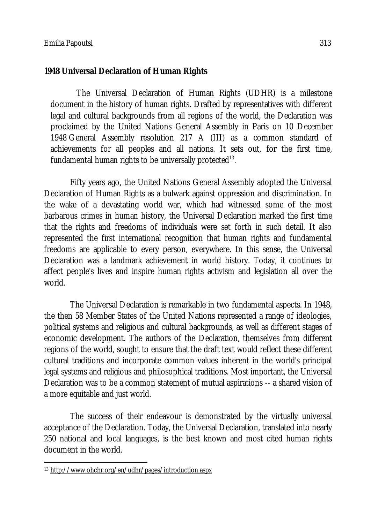## **1948 Universal Declaration of Human Rights**

The Universal Declaration of Human Rights (UDHR) is a milestone document in the history of human rights. Drafted by representatives with different legal and cultural backgrounds from all regions of the world, the Declaration was proclaimed by the United Nations General Assembly in Paris on 10 December 1948 General Assembly resolution 217 A (III) as a common standard of achievements for all peoples and all nations. It sets out, for the first time, fundamental human rights to be universally protected $^{13}$ .

Fifty years ago, the United Nations General Assembly adopted the Universal Declaration of Human Rights as a bulwark against oppression and discrimination. In the wake of a devastating world war, which had witnessed some of the most barbarous crimes in human history, the Universal Declaration marked the first time that the rights and freedoms of individuals were set forth in such detail. It also represented the first international recognition that human rights and fundamental freedoms are applicable to every person, everywhere. In this sense, the Universal Declaration was a landmark achievement in world history. Today, it continues to affect people's lives and inspire human rights activism and legislation all over the world.

The Universal Declaration is remarkable in two fundamental aspects. In 1948, the then 58 Member States of the United Nations represented a range of ideologies, political systems and religious and cultural backgrounds, as well as different stages of economic development. The authors of the Declaration, themselves from different regions of the world, sought to ensure that the draft text would reflect these different cultural traditions and incorporate common values inherent in the world's principal legal systems and religious and philosophical traditions. Most important, the Universal Declaration was to be a common statement of mutual aspirations -- a shared vision of a more equitable and just world.

The success of their endeavour is demonstrated by the virtually universal acceptance of the Declaration. Today, the Universal Declaration, translated into nearly 250 national and local languages, is the best known and most cited human rights document in the world.

 $\overline{\phantom{a}}$ <sup>13</sup> http://www.ohchr.org/en/udhr/pages/introduction.aspx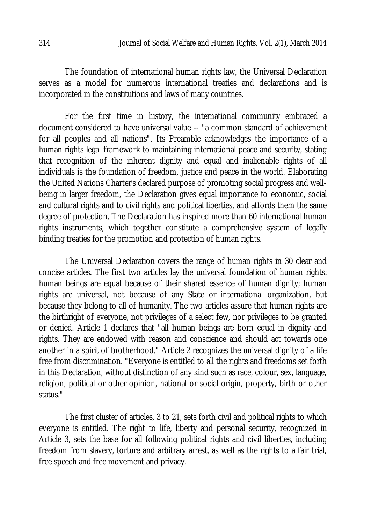The foundation of international human rights law, the Universal Declaration serves as a model for numerous international treaties and declarations and is incorporated in the constitutions and laws of many countries.

For the first time in history, the international community embraced a document considered to have universal value -- "a common standard of achievement for all peoples and all nations". Its Preamble acknowledges the importance of a human rights legal framework to maintaining international peace and security, stating that recognition of the inherent dignity and equal and inalienable rights of all individuals is the foundation of freedom, justice and peace in the world. Elaborating the United Nations Charter's declared purpose of promoting social progress and wellbeing in larger freedom, the Declaration gives equal importance to economic, social and cultural rights and to civil rights and political liberties, and affords them the same degree of protection. The Declaration has inspired more than 60 international human rights instruments, which together constitute a comprehensive system of legally binding treaties for the promotion and protection of human rights.

The Universal Declaration covers the range of human rights in 30 clear and concise articles. The first two articles lay the universal foundation of human rights: human beings are equal because of their shared essence of human dignity; human rights are universal, not because of any State or international organization, but because they belong to all of humanity. The two articles assure that human rights are the birthright of everyone, not privileges of a select few, nor privileges to be granted or denied. Article 1 declares that "all human beings are born equal in dignity and rights. They are endowed with reason and conscience and should act towards one another in a spirit of brotherhood." Article 2 recognizes the universal dignity of a life free from discrimination. "Everyone is entitled to all the rights and freedoms set forth in this Declaration, without distinction of any kind such as race, colour, sex, language, religion, political or other opinion, national or social origin, property, birth or other status."

The first cluster of articles, 3 to 21, sets forth civil and political rights to which everyone is entitled. The right to life, liberty and personal security, recognized in Article 3, sets the base for all following political rights and civil liberties, including freedom from slavery, torture and arbitrary arrest, as well as the rights to a fair trial, free speech and free movement and privacy.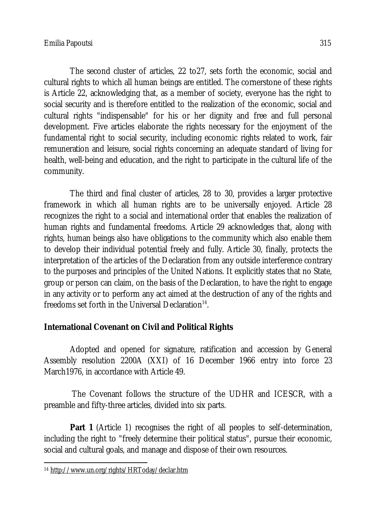The second cluster of articles, 22 to27, sets forth the economic, social and cultural rights to which all human beings are entitled. The cornerstone of these rights is Article 22, acknowledging that, as a member of society, everyone has the right to social security and is therefore entitled to the realization of the economic, social and cultural rights "indispensable" for his or her dignity and free and full personal development. Five articles elaborate the rights necessary for the enjoyment of the fundamental right to social security, including economic rights related to work, fair remuneration and leisure, social rights concerning an adequate standard of living for health, well-being and education, and the right to participate in the cultural life of the community.

The third and final cluster of articles, 28 to 30, provides a larger protective framework in which all human rights are to be universally enjoyed. Article 28 recognizes the right to a social and international order that enables the realization of human rights and fundamental freedoms. Article 29 acknowledges that, along with rights, human beings also have obligations to the community which also enable them to develop their individual potential freely and fully. Article 30, finally, protects the interpretation of the articles of the Declaration from any outside interference contrary to the purposes and principles of the United Nations. It explicitly states that no State, group or person can claim, on the basis of the Declaration, to have the right to engage in any activity or to perform any act aimed at the destruction of any of the rights and freedoms set forth in the Universal Declaration $14$ .

## **International Covenant on Civil and Political Rights**

Adopted and opened for signature, ratification and accession by General Assembly resolution 2200A (XXI) of 16 December 1966 entry into force 23 March1976, in accordance with Article 49.

The Covenant follows the structure of the UDHR and ICESCR, with a preamble and fifty-three articles, divided into six parts.

**Part 1** (Article 1) recognises the right of all peoples to self-determination, including the right to "freely determine their political status", pursue their economic, social and cultural goals, and manage and dispose of their own resources.

 $\overline{\phantom{a}}$ <sup>14</sup> http://www.un.org/rights/HRToday/declar.htm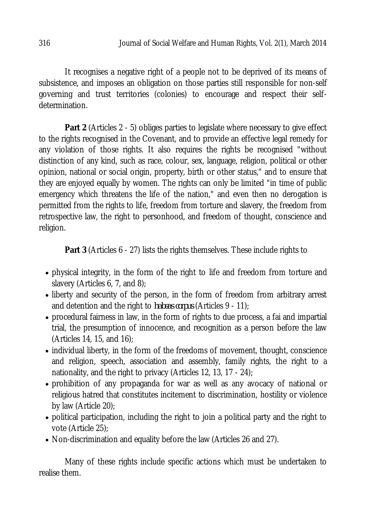It recognises a negative right of a people not to be deprived of its means of subsistence, and imposes an obligation on those parties still responsible for non-self governing and trust territories (colonies) to encourage and respect their selfdetermination.

**Part 2** (Articles 2 - 5) obliges parties to legislate where necessary to give effect to the rights recognised in the Covenant, and to provide an effective legal remedy for any violation of those rights. It also requires the rights be recognised "without distinction of any kind, such as race, colour, sex, language, religion, political or other opinion, national or social origin, property, birth or other status," and to ensure that they are enjoyed equally by women. The rights can only be limited "in time of public emergency which threatens the life of the nation," and even then no derogation is permitted from the rights to life, freedom from torture and slavery, the freedom from retrospective law, the right to personhood, and freedom of thought, conscience and religion.

**Part 3** (Articles 6 - 27) lists the rights themselves. These include rights to

- physical integrity, in the form of the right to life and freedom from torture and slavery (Articles 6, 7, and 8);
- liberty and security of the person, in the form of freedom from arbitrary arrest and detention and the right to *habeas corpus* (Articles 9 - 11);
- procedural fairness in law, in the form of rights to due process, a fai and impartial trial, the presumption of innocence, and recognition as a person before the law (Articles 14, 15, and 16);
- individual liberty, in the form of the freedoms of movement, thought, conscience and religion, speech, association and assembly, family rights, the right to a nationality, and the right to privacy (Articles 12, 13, 17 - 24);
- prohibition of any propaganda for war as well as any avocacy of national or religious hatred that constitutes incitement to discrimination, hostility or violence by law (Article 20);
- political participation, including the right to join a political party and the right to vote (Article 25);
- Non-discrimination and equality before the law (Articles 26 and 27).

Many of these rights include specific actions which must be undertaken to realise them.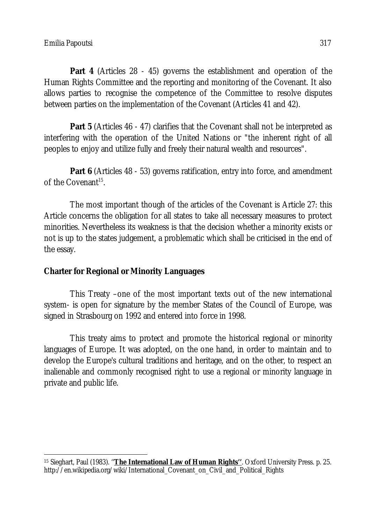**Part 4** (Articles 28 - 45) governs the establishment and operation of the Human Rights Committee and the reporting and monitoring of the Covenant. It also allows parties to recognise the competence of the Committee to resolve disputes between parties on the implementation of the Covenant (Articles 41 and 42).

**Part 5** (Articles 46 - 47) clarifies that the Covenant shall not be interpreted as interfering with the operation of the United Nations or "the inherent right of all peoples to enjoy and utilize fully and freely their natural wealth and resources".

**Part 6** (Articles 48 - 53) governs ratification, entry into force, and amendment of the Covenant<sup>15</sup>.

The most important though of the articles of the Covenant is Article 27: this Article concerns the obligation for all states to take all necessary measures to protect minorities. Nevertheless its weakness is that the decision whether a minority exists or not is up to the states judgement, a problematic which shall be criticised in the end of the essay.

## **Charter for Regional or Minority Languages**

This Treaty –one of the most important texts out of the new international system- is open for signature by the member States of the Council of Europe, was signed in Strasbourg on 1992 and entered into force in 1998.

This treaty aims to protect and promote the historical regional or minority languages of Europe. It was adopted, on the one hand, in order to maintain and to develop the Europe's cultural traditions and heritage, and on the other, to respect an inalienable and commonly recognised right to use a regional or minority language in private and public life.

 $\overline{\phantom{a}}$ <sup>15</sup> Sieghart, Paul (1983). ''**The International Law of Human Rights''**. Oxford University Press. p. 25. http://en.wikipedia.org/wiki/International\_Covenant\_on\_Civil\_and\_Political\_Rights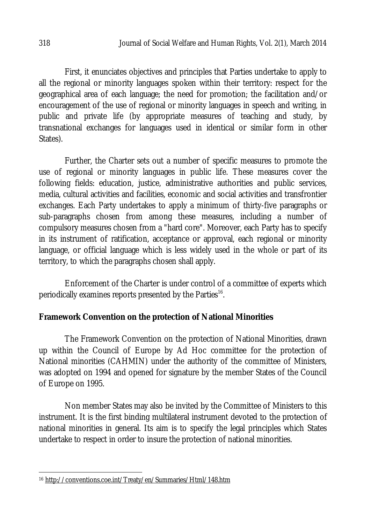First, it enunciates objectives and principles that Parties undertake to apply to all the regional or minority languages spoken within their territory: respect for the geographical area of each language; the need for promotion; the facilitation and/or encouragement of the use of regional or minority languages in speech and writing, in public and private life (by appropriate measures of teaching and study, by transnational exchanges for languages used in identical or similar form in other States).

Further, the Charter sets out a number of specific measures to promote the use of regional or minority languages in public life. These measures cover the following fields: education, justice, administrative authorities and public services, media, cultural activities and facilities, economic and social activities and transfrontier exchanges. Each Party undertakes to apply a minimum of thirty-five paragraphs or sub-paragraphs chosen from among these measures, including a number of compulsory measures chosen from a "hard core". Moreover, each Party has to specify in its instrument of ratification, acceptance or approval, each regional or minority language, or official language which is less widely used in the whole or part of its territory, to which the paragraphs chosen shall apply.

Enforcement of the Charter is under control of a committee of experts which periodically examines reports presented by the Parties $^{\text{16}}$ .

## **Framework Convention on the protection of National Minorities**

The Framework Convention on the protection of National Minorities, drawn up within the Council of Europe by Ad Hoc committee for the protection of National minorities (CAHMIN) under the authority of the committee of Ministers, was adopted on 1994 and opened for signature by the member States of the Council of Europe on 1995.

Non member States may also be invited by the Committee of Ministers to this instrument. It is the first binding multilateral instrument devoted to the protection of national minorities in general. Its aim is to specify the legal principles which States undertake to respect in order to insure the protection of national minorities.

 $\overline{\phantom{a}}$ <sup>16</sup> http://conventions.coe.int/Treaty/en/Summaries/Html/148.htm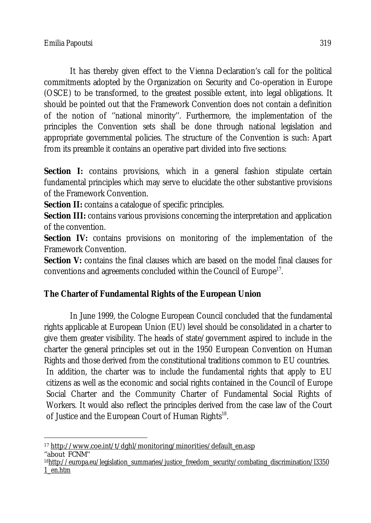It has thereby given effect to the Vienna Declaration's call for the political commitments adopted by the Organization on Security and Co-operation in Europe (OSCE) to be transformed, to the greatest possible extent, into legal obligations. It should be pointed out that the Framework Convention does not contain a definition of the notion of ''national minority''. Furthermore, the implementation of the principles the Convention sets shall be done through national legislation and appropriate governmental policies. The structure of the Convention is such: Apart from its preamble it contains an operative part divided into five sections:

**Section I:** contains provisions, which in a general fashion stipulate certain fundamental principles which may serve to elucidate the other substantive provisions of the Framework Convention.

**Section II:** contains a catalogue of specific principles.

**Section III:** contains various provisions concerning the interpretation and application of the convention.

**Section IV:** contains provisions on monitoring of the implementation of the Framework Convention.

**Section V:** contains the final clauses which are based on the model final clauses for conventions and agreements concluded within the Council of  $\sf{Europe}^{\sf 17}.$ 

## **The Charter of Fundamental Rights of the European Union**

In June 1999, the Cologne European Council concluded that the fundamental rights applicable at European Union (EU) level should be consolidated in a charter to give them greater visibility. The heads of state/government aspired to include in the charter the general principles set out in the 1950 European Convention on Human Rights and those derived from the constitutional traditions common to EU countries. In addition, the charter was to include the fundamental rights that apply to EU citizens as well as the economic and social rights contained in the Council of Europe Social Charter and the Community Charter of Fundamental Social Rights of Workers. It would also reflect the principles derived from the case law of the Court of Justice and the European Court of Human Rights<sup>18</sup>.

 $\overline{\phantom{a}}$ <sup>17</sup> http://www.coe.int/t/dghl/monitoring/minorities/default\_en.asp

<sup>&#</sup>x27;'about FCNM''

<sup>18</sup>http://europa.eu/legislation\_summaries/justice\_freedom\_security/combating\_discrimination/l3350 1\_en.htm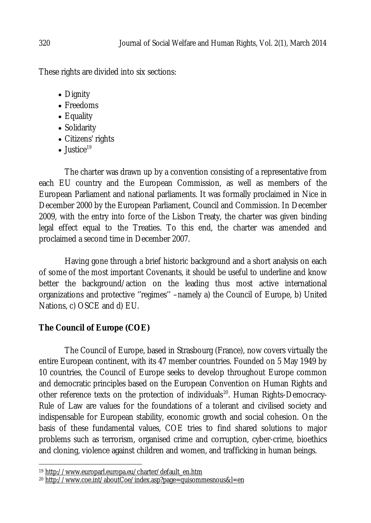These rights are divided into six sections:

- Dignity
- Freedoms
- Equality
- Solidarity
- Citizens' rights
- $\bullet$  Justice<sup>19</sup>

The charter was drawn up by a convention consisting of a representative from each EU country and the European Commission, as well as members of the European Parliament and national parliaments. It was formally proclaimed in Nice in December 2000 by the European Parliament, Council and Commission. In December 2009, with the entry into force of the Lisbon Treaty, the charter was given binding legal effect equal to the Treaties. To this end, the charter was amended and proclaimed a second time in December 2007.

Having gone through a brief historic background and a short analysis on each of some of the most important Covenants, it should be useful to underline and know better the background/action on the leading thus most active international organizations and protective ''regimes'' –namely a) the Council of Europe, b) United Nations, c) OSCE and d) EU.

# **The Council of Europe (COE)**

The Council of Europe, based in Strasbourg (France), now covers virtually the entire European continent, with its 47 member countries. Founded on 5 May 1949 by 10 countries, the Council of Europe seeks to develop throughout Europe common and democratic principles based on the European Convention on Human Rights and other reference texts on the protection of individuals<sup>20</sup>. Human Rights-Democracy-Rule of Law are values for the foundations of a tolerant and civilised society and indispensable for European stability, economic growth and social cohesion. On the basis of these fundamental values, COE tries to find shared solutions to major problems such as terrorism, organised crime and corruption, cyber-crime, bioethics and cloning, violence against children and women, and trafficking in human beings.

 $\overline{a}$ <sup>19</sup> http://www.europarl.europa.eu/charter/default\_en.htm

<sup>20</sup> http://www.coe.int/aboutCoe/index.asp?page=quisommesnous&l=en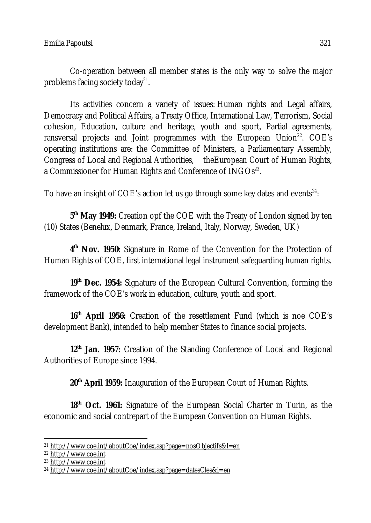Co-operation between all member states is the only way to solve the major problems facing society today $^{21}$ .

Its activities concern a variety of issues: Human rights and Legal affairs, Democracy and Political Affairs, a Treaty Office, International Law, Terrorism, Social cohesion, Education, culture and heritage, youth and sport, Partial agreements, ransversal projects and Joint programmes with the European Union<sup>22</sup>. COE's operating institutions are: the Committee of Ministers, a Parliamentary Assembly, Congress of Local and Regional Authorities, theEuropean Court of Human Rights, a Commissioner for Human Rights and Conference of  $\,$  INGOs $^{23}$ .

To have an insight of COE's action let us go through some key dates and events<sup>24</sup>:

**5 th May 1949:** Creation opf the COE with the Treaty of London signed by ten (10) States (Benelux, Denmark, France, Ireland, Italy, Norway, Sweden, UK)

**4 th Nov. 1950:** Signature in Rome of the Convention for the Protection of Human Rights of COE, first international legal instrument safeguarding human rights.

**19th Dec. 1954:** Signature of the European Cultural Convention, forming the framework of the COE's work in education, culture, youth and sport.

**16th April 1956:** Creation of the resettlement Fund (which is noe COE's development Bank), intended to help member States to finance social projects.

**12th Jan. 1957:** Creation of the Standing Conference of Local and Regional Authorities of Europe since 1994.

**20th April 1959:** Inauguration of the European Court of Human Rights.

**18th Oct. 1961:** Signature of the European Social Charter in Turin, as the economic and social contrepart of the European Convention on Human Rights.

 $\overline{a}$ <sup>21</sup> http://www.coe.int/aboutCoe/index.asp?page=nosObjectifs&l=en

<sup>22</sup> http://www.coe.int

<sup>23</sup> http://www.coe.int

<sup>24</sup> http://www.coe.int/aboutCoe/index.asp?page=datesCles&l=en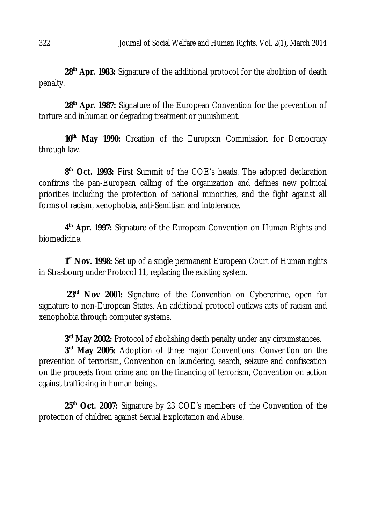**28th Apr. 1983:** Signature of the additional protocol for the abolition of death penalty.

**28th Apr. 1987:** Signature of the European Convention for the prevention of torture and inhuman or degrading treatment or punishment.

**10th May 1990:** Creation of the European Commission for Democracy through law.

**8 th Oct. 1993:** First Summit of the COE's heads. The adopted declaration confirms the pan-European calling of the organization and defines new political priorities including the protection of national minorities, and the fight against all forms of racism, xenophobia, anti-Semitism and intolerance.

**4 th Apr. 1997:** Signature of the European Convention on Human Rights and biomedicine.

**1 st Nov. 1998:** Set up of a single permanent European Court of Human rights in Strasbourg under Protocol 11, replacing the existing system.

**23rd Nov 2001:** Signature of the Convention on Cybercrime, open for signature to non-European States. An additional protocol outlaws acts of racism and xenophobia through computer systems.

**3 rd May 2002:** Protocol of abolishing death penalty under any circumstances.

**3 rd May 2005:** Adoption of three major Conventions: Convention on the prevention of terrorism, Convention on laundering, search, seizure and confiscation on the proceeds from crime and on the financing of terrorism, Convention on action against trafficking in human beings.

**25th Oct. 2007:** Signature by 23 COE's members of the Convention of the protection of children against Sexual Exploitation and Abuse.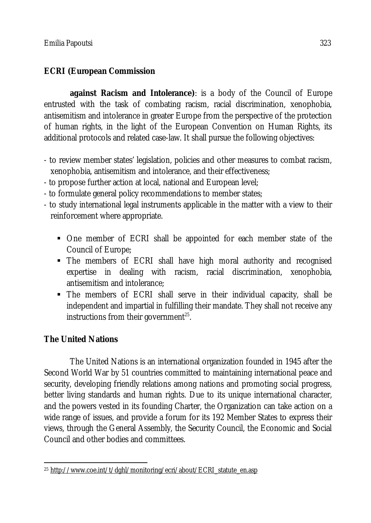# **ECRI (European Commission**

**against Racism and Intolerance)**: is a body of the Council of Europe entrusted with the task of combating racism, racial discrimination, xenophobia, antisemitism and intolerance in greater Europe from the perspective of the protection of human rights, in the light of the European Convention on Human Rights, its additional protocols and related case-law. It shall pursue the following objectives:

- to review member states' legislation, policies and other measures to combat racism, xenophobia, antisemitism and intolerance, and their effectiveness;
- to propose further action at local, national and European level;
- to formulate general policy recommendations to member states;
- to study international legal instruments applicable in the matter with a view to their reinforcement where appropriate.
	- One member of ECRI shall be appointed for each member state of the Council of Europe;
	- The members of ECRI shall have high moral authority and recognised expertise in dealing with racism, racial discrimination, xenophobia, antisemitism and intolerance;
	- The members of ECRI shall serve in their individual capacity, shall be independent and impartial in fulfilling their mandate. They shall not receive any instructions from their government $^{25}$ .

# **The United Nations**

The United Nations is an international organization founded in 1945 after the Second World War by 51 countries committed to maintaining international peace and security, developing friendly relations among nations and promoting social progress, better living standards and human rights. Due to its unique international character, and the powers vested in its founding Charter, the Organization can take action on a wide range of issues, and provide a forum for its 192 Member States to express their views, through the General Assembly, the Security Council, the Economic and Social Council and other bodies and committees.

 $\overline{\phantom{a}}$ <sup>25</sup> http://www.coe.int/t/dghl/monitoring/ecri/about/ECRI\_statute\_en.asp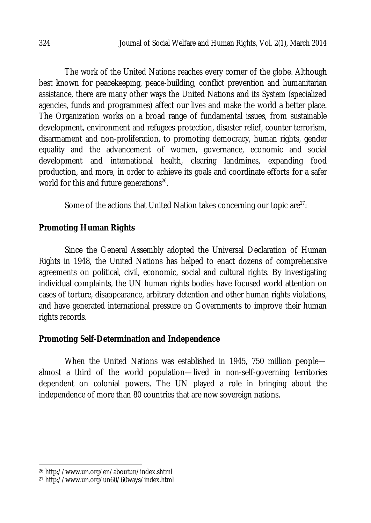The work of the United Nations reaches every corner of the globe. Although best known for peacekeeping, peace-building, conflict prevention and humanitarian assistance, there are many other ways the United Nations and its System (specialized agencies, funds and programmes) affect our lives and make the world a better place. The Organization works on a broad range of fundamental issues, from sustainable development, environment and refugees protection, disaster relief, counter terrorism, disarmament and non-proliferation, to promoting democracy, human rights, gender equality and the advancement of women, governance, economic and social development and international health, clearing landmines, expanding food production, and more, in order to achieve its goals and coordinate efforts for a safer world for this and future generations $^{26}.$ 

Some of the actions that United Nation takes concerning our topic are  $27$ :

# **Promoting Human Rights**

Since the General Assembly adopted the Universal Declaration of Human Rights in 1948, the United Nations has helped to enact dozens of comprehensive agreements on political, civil, economic, social and cultural rights. By investigating individual complaints, the UN human rights bodies have focused world attention on cases of torture, disappearance, arbitrary detention and other human rights violations, and have generated international pressure on Governments to improve their human rights records.

## **Promoting Self-Determination and Independence**

When the United Nations was established in 1945, 750 million people almost a third of the world population—lived in non-self-governing territories dependent on colonial powers. The UN played a role in bringing about the independence of more than 80 countries that are now sovereign nations.

 $\overline{a}$ <sup>26</sup> http://www.un.org/en/aboutun/index.shtml

<sup>27</sup> http://www.un.org/un60/60ways/index.html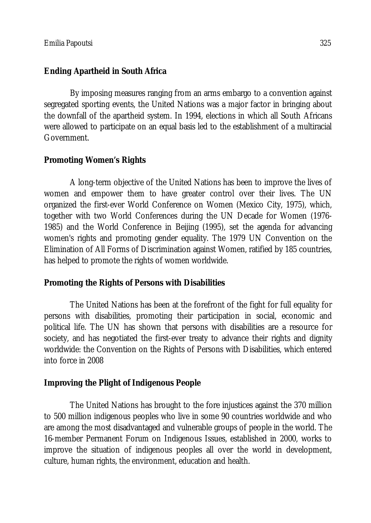## **Ending Apartheid in South Africa**

By imposing measures ranging from an arms embargo to a convention against segregated sporting events, the United Nations was a major factor in bringing about the downfall of the apartheid system. In 1994, elections in which all South Africans were allowed to participate on an equal basis led to the establishment of a multiracial Government.

## **Promoting Women's Rights**

A long-term objective of the United Nations has been to improve the lives of women and empower them to have greater control over their lives. The UN organized the first-ever World Conference on Women (Mexico City, 1975), which, together with two World Conferences during the UN Decade for Women (1976- 1985) and the World Conference in Beijing (1995), set the agenda for advancing women's rights and promoting gender equality. The 1979 UN Convention on the Elimination of All Forms of Discrimination against Women, ratified by 185 countries, has helped to promote the rights of women worldwide.

## **Promoting the Rights of Persons with Disabilities**

The United Nations has been at the forefront of the fight for full equality for persons with disabilities, promoting their participation in social, economic and political life. The UN has shown that persons with disabilities are a resource for society, and has negotiated the first-ever treaty to advance their rights and dignity worldwide: the Convention on the Rights of Persons with Disabilities, which entered into force in 2008

## **Improving the Plight of Indigenous People**

The United Nations has brought to the fore injustices against the 370 million to 500 million indigenous peoples who live in some 90 countries worldwide and who are among the most disadvantaged and vulnerable groups of people in the world. The 16-member Permanent Forum on Indigenous Issues, established in 2000, works to improve the situation of indigenous peoples all over the world in development, culture, human rights, the environment, education and health.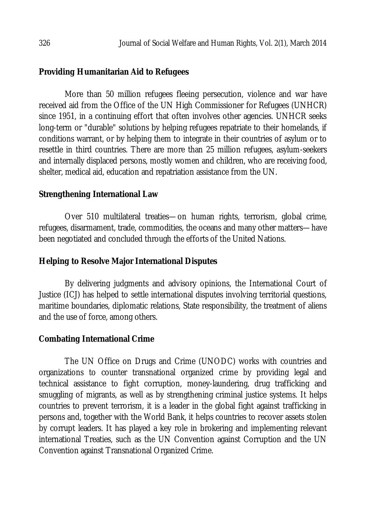### **Providing Humanitarian Aid to Refugees**

More than 50 million refugees fleeing persecution, violence and war have received aid from the Office of the UN High Commissioner for Refugees (UNHCR) since 1951, in a continuing effort that often involves other agencies. UNHCR seeks long-term or "durable" solutions by helping refugees repatriate to their homelands, if conditions warrant, or by helping them to integrate in their countries of asylum or to resettle in third countries. There are more than 25 million refugees, asylum-seekers and internally displaced persons, mostly women and children, who are receiving food, shelter, medical aid, education and repatriation assistance from the UN.

#### **Strengthening International Law**

Over 510 multilateral treaties—on human rights, terrorism, global crime, refugees, disarmament, trade, commodities, the oceans and many other matters—have been negotiated and concluded through the efforts of the United Nations.

#### **Helping to Resolve Major International Disputes**

By delivering judgments and advisory opinions, the International Court of Justice (ICJ) has helped to settle international disputes involving territorial questions, maritime boundaries, diplomatic relations, State responsibility, the treatment of aliens and the use of force, among others.

#### **Combating International Crime**

The UN Office on Drugs and Crime (UNODC) works with countries and organizations to counter transnational organized crime by providing legal and technical assistance to fight corruption, money-laundering, drug trafficking and smuggling of migrants, as well as by strengthening criminal justice systems. It helps countries to prevent terrorism, it is a leader in the global fight against trafficking in persons and, together with the World Bank, it helps countries to recover assets stolen by corrupt leaders. It has played a key role in brokering and implementing relevant international Treaties, such as the UN Convention against Corruption and the UN Convention against Transnational Organized Crime.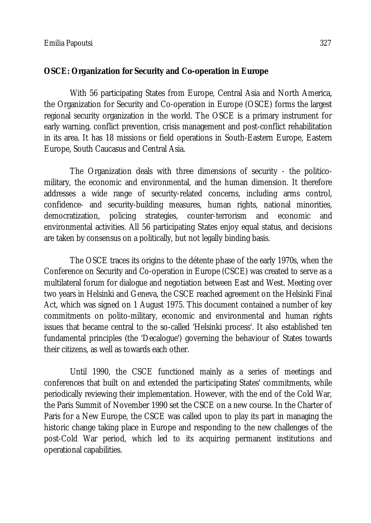#### **OSCE: Organization for Security and Co-operation in Europe**

With 56 participating States from Europe, Central Asia and North America, the Organization for Security and Co-operation in Europe (OSCE) forms the largest regional security organization in the world. The OSCE is a primary instrument for early warning, conflict prevention, crisis management and post-conflict rehabilitation in its area. It has 18 missions or field operations in South-Eastern Europe, Eastern Europe, South Caucasus and Central Asia.

The Organization deals with three dimensions of security - the politicomilitary, the economic and environmental, and the human dimension. It therefore addresses a wide range of security-related concerns, including arms control, confidence- and security-building measures, human rights, national minorities, democratization, policing strategies, counter-terrorism and economic and environmental activities. All 56 participating States enjoy equal status, and decisions are taken by consensus on a politically, but not legally binding basis.

The OSCE traces its origins to the détente phase of the early 1970s, when the Conference on Security and Co-operation in Europe (CSCE) was created to serve as a multilateral forum for dialogue and negotiation between East and West. Meeting over two years in Helsinki and Geneva, the CSCE reached agreement on the Helsinki Final Act, which was signed on 1 August 1975. This document contained a number of key commitments on polito-military, economic and environmental and human rights issues that became central to the so-called 'Helsinki process'. It also established ten fundamental principles (the 'Decalogue') governing the behaviour of States towards their citizens, as well as towards each other.

Until 1990, the CSCE functioned mainly as a series of meetings and conferences that built on and extended the participating States' commitments, while periodically reviewing their implementation. However, with the end of the Cold War, the Paris Summit of November 1990 set the CSCE on a new course. In the Charter of Paris for a New Europe, the CSCE was called upon to play its part in managing the historic change taking place in Europe and responding to the new challenges of the post-Cold War period, which led to its acquiring permanent institutions and operational capabilities.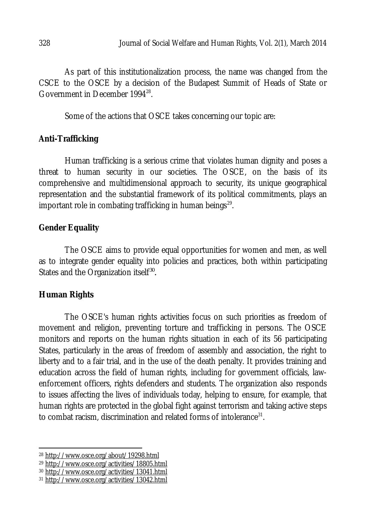As part of this institutionalization process, the name was changed from the CSCE to the OSCE by a decision of the Budapest Summit of Heads of State or Government in December 1994<sup>28</sup>.

Some of the actions that OSCE takes concerning our topic are:

## **Anti-Trafficking**

Human trafficking is a serious crime that violates human dignity and poses a threat to human security in our societies. The OSCE, on the basis of its comprehensive and multidimensional approach to security, its unique geographical representation and the substantial framework of its political commitments, plays an important role in combating trafficking in human beings $^{29}$ .

## **Gender Equality**

The OSCE aims to provide equal opportunities for women and men, as well as to integrate gender equality into policies and practices, both within participating States and the Organization itself*<sup>30</sup> .*

## **Human Rights**

The OSCE's human rights activities focus on such priorities as freedom of movement and religion, preventing torture and trafficking in persons. The OSCE monitors and reports on the human rights situation in each of its 56 participating States, particularly in the areas of freedom of assembly and association, the right to liberty and to a fair trial, and in the use of the death penalty. It provides training and education across the field of human rights, including for government officials, lawenforcement officers, rights defenders and students. The organization also responds to issues affecting the lives of individuals today, helping to ensure, for example, that human rights are protected in the global fight against terrorism and taking active steps to combat racism, discrimination and related forms of intolerance $^{31}$ .

- <sup>29</sup> http://www.osce.org/activities/18805.html
- <sup>30</sup> http://www.osce.org/activities/13041.html

 $\overline{a}$ <sup>28</sup> http://www.osce.org/about/19298.html

<sup>31</sup> http://www.osce.org/activities/13042.html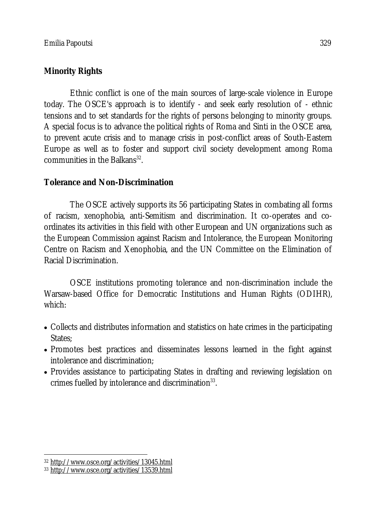# **Minority Rights**

Ethnic conflict is one of the main sources of large-scale violence in Europe today. The OSCE's approach is to identify - and seek early resolution of - ethnic tensions and to set standards for the rights of persons belonging to minority groups. A special focus is to advance the political rights of Roma and Sinti in the OSCE area, to prevent acute crisis and to manage crisis in post-conflict areas of South-Eastern Europe as well as to foster and support civil society development among Roma  ${\rm commu}$ nities in the Balkans $^{32}.$ 

# **Tolerance and Non-Discrimination**

The OSCE actively supports its 56 participating States in combating all forms of racism, xenophobia, anti-Semitism and discrimination. It co-operates and coordinates its activities in this field with other European and UN organizations such as the European Commission against Racism and Intolerance, the European Monitoring Centre on Racism and Xenophobia, and the UN Committee on the Elimination of Racial Discrimination.

OSCE institutions promoting tolerance and non-discrimination include the Warsaw-based Office for Democratic Institutions and Human Rights (ODIHR), which:

- Collects and distributes information and statistics on hate crimes in the participating States:
- Promotes best practices and disseminates lessons learned in the fight against intolerance and discrimination;
- Provides assistance to participating States in drafting and reviewing legislation on crimes fuelled by intolerance and discrimination $^{33}$ .

 $\overline{\phantom{a}}$ 

<sup>32</sup> http://www.osce.org/activities/13045.html

<sup>33</sup> http://www.osce.org/activities/13539.html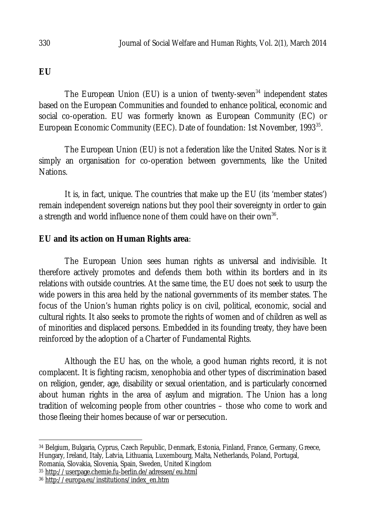## **EU**

The European Union (EU) is a union of twenty-seven<sup>34</sup> independent states based on the European Communities and founded to enhance political, economic and social co-operation. EU was formerly known as European Community (EC) or European Economic Community (EEC). Date of foundation: 1st November, 1993<sup>35</sup>.

The European Union (EU) is not a federation like the United States. Nor is it simply an organisation for co-operation between governments, like the United Nations.

It is, in fact, unique. The countries that make up the EU (its 'member states') remain independent sovereign nations but they pool their sovereignty in order to gain a strength and world influence none of them could have on their own $^{\rm 36}.$ 

## **EU and its action on Human Rights area**:

The European Union sees human rights as universal and indivisible. It therefore actively promotes and defends them both within its borders and in its relations with outside countries. At the same time, the EU does not seek to usurp the wide powers in this area held by the national governments of its member states. The focus of the Union's human rights policy is on civil, political, economic, social and cultural rights. It also seeks to promote the rights of women and of children as well as of minorities and displaced persons. Embedded in its founding treaty, they have been reinforced by the adoption of a Charter of Fundamental Rights.

Although the EU has, on the whole, a good human rights record, it is not complacent. It is fighting racism, xenophobia and other types of discrimination based on religion, gender, age, disability or sexual orientation, and is particularly concerned about human rights in the area of asylum and migration. The Union has a long tradition of welcoming people from other countries – those who come to work and those fleeing their homes because of war or persecution.

<sup>35</sup> http://userpage.chemie.fu-berlin.de/adressen/eu.html

 $\overline{a}$ <sup>34</sup> Belgium, Bulgaria, Cyprus, Czech Republic, Denmark, Estonia, Finland, France, Germany, Greece, Hungary, Ireland, Italy, Latvia, Lithuania, Luxembourg, Malta, Netherlands, Poland, Portugal, Romania, Slovakia, Slovenia, Spain, Sweden, United Kingdom

<sup>36</sup> http://europa.eu/institutions/index\_en.htm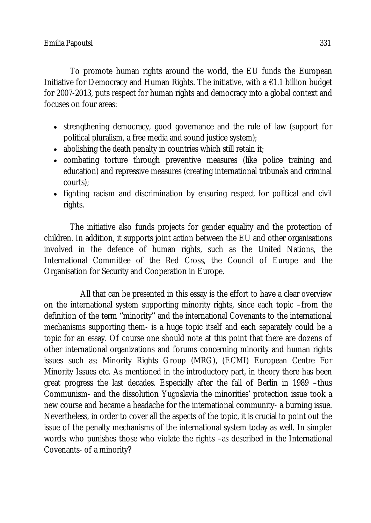To promote human rights around the world, the EU funds the European Initiative for Democracy and Human Rights. The initiative, with a  $\epsilon$ 1.1 billion budget for 2007-2013, puts respect for human rights and democracy into a global context and focuses on four areas:

- strengthening democracy, good governance and the rule of law (support for political pluralism, a free media and sound justice system);
- abolishing the death penalty in countries which still retain it;
- combating torture through preventive measures (like police training and education) and repressive measures (creating international tribunals and criminal courts);
- fighting racism and discrimination by ensuring respect for political and civil rights.

The initiative also funds projects for gender equality and the protection of children. In addition, it supports joint action between the EU and other organisations involved in the defence of human rights, such as the United Nations, the International Committee of the Red Cross, the Council of Europe and the Organisation for Security and Cooperation in Europe.

All that can be presented in this essay is the effort to have a clear overview on the international system supporting minority rights, since each topic –from the definition of the term ''minority'' and the international Covenants to the international mechanisms supporting them- is a huge topic itself and each separately could be a topic for an essay. Of course one should note at this point that there are dozens of other international organizations and forums concerning minority and human rights issues such as: Minority Rights Group (MRG), (ECMI) European Centre For Minority Issues etc. As mentioned in the introductory part, in theory there has been great progress the last decades. Especially after the fall of Berlin in 1989 –thus Communism- and the dissolution Yugoslavia the minorities' protection issue took a new course and became a headache for the international community- a burning issue. Nevertheless, in order to cover all the aspects of the topic, it is crucial to point out the issue of the penalty mechanisms of the international system today as well. In simpler words: who punishes those who violate the rights –as described in the International Covenants- of a minority?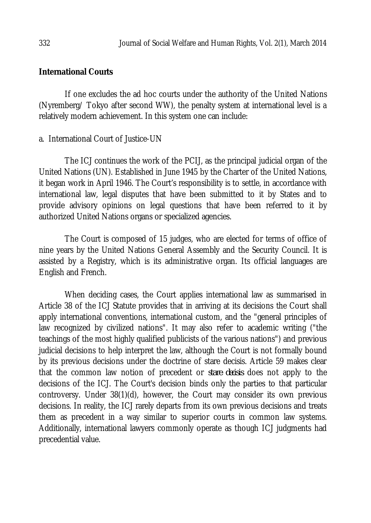#### **International Courts**

If one excludes the ad hoc courts under the authority of the United Nations (Nyremberg/ Tokyo after second WW), the penalty system at international level is a relatively modern achievement. In this system one can include:

#### a. International Court of Justice-UN

The ICJ continues the work of the PCIJ, as the principal judicial organ of the United Nations (UN). Established in June 1945 by the Charter of the United Nations, it began work in April 1946. The Court's responsibility is to settle, in accordance with international law, legal disputes that have been submitted to it by States and to provide advisory opinions on legal questions that have been referred to it by authorized United Nations organs or specialized agencies.

The Court is composed of 15 judges, who are elected for terms of office of nine years by the United Nations General Assembly and the Security Council. It is assisted by a Registry, which is its administrative organ. Its official languages are English and French.

When deciding cases, the Court applies international law as summarised in Article 38 of the ICJ Statute provides that in arriving at its decisions the Court shall apply international conventions, international custom, and the "general principles of law recognized by civilized nations". It may also refer to academic writing ("the teachings of the most highly qualified publicists of the various nations") and previous judicial decisions to help interpret the law, although the Court is not formally bound by its previous decisions under the doctrine of stare decisis. Article 59 makes clear that the common law notion of precedent or *stare decisis* does not apply to the decisions of the ICJ. The Court's decision binds only the parties to that particular controversy. Under 38(1)(d), however, the Court may consider its own previous decisions. In reality, the ICJ rarely departs from its own previous decisions and treats them as precedent in a way similar to superior courts in common law systems. Additionally, international lawyers commonly operate as though ICJ judgments had precedential value.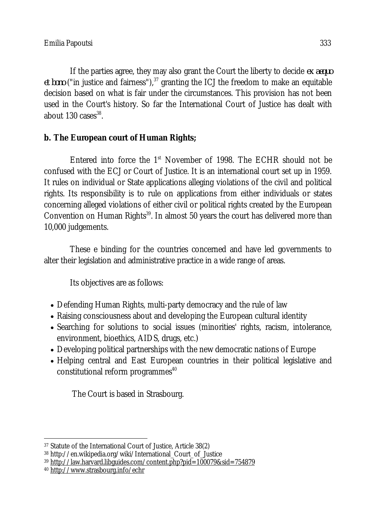If the parties agree, they may also grant the Court the liberty to decide *ex aequo*  et bono ("in justice and fairness"),<sup>37</sup> granting the ICJ the freedom to make an equitable decision based on what is fair under the circumstances. This provision has not been used in the Court's history. So far the International Court of Justice has dealt with about 130  $\text{cases}^{\text{38}}$ .

# **b. The European court of Human Rights;**

Entered into force the 1<sup>st</sup> November of 1998. The ECHR should not be confused with the ECJ or Court of Justice. It is an international court set up in 1959. It rules on individual or State applications alleging violations of the civil and political rights. Its responsibility is to rule on applications from either individuals or states concerning alleged violations of either civil or political rights created by the European Convention on Human Rights<sup>39</sup>. In almost 50 years the court has delivered more than 10,000 judgements.

These e binding for the countries concerned and have led governments to alter their legislation and administrative practice in a wide range of areas.

Its objectives are as follows:

- Defending Human Rights, multi-party democracy and the rule of law
- Raising consciousness about and developing the European cultural identity
- Searching for solutions to social issues (minorities' rights, racism, intolerance, environment, bioethics, AIDS, drugs, etc.)
- Developing political partnerships with the new democratic nations of Europe
- Helping central and East European countries in their political legislative and constitutional reform programmes<sup>40</sup>

The Court is based in Strasbourg.

 $\overline{a}$ <sup>37</sup> Statute of the International Court of Justice, Article 38(2)

<sup>38</sup> http://en.wikipedia.org/wiki/International\_Court\_of\_Justice

<sup>39</sup> http://law.harvard.libguides.com/content.php?pid=100079&sid=754879

<sup>40</sup> http://www.strasbourg.info/echr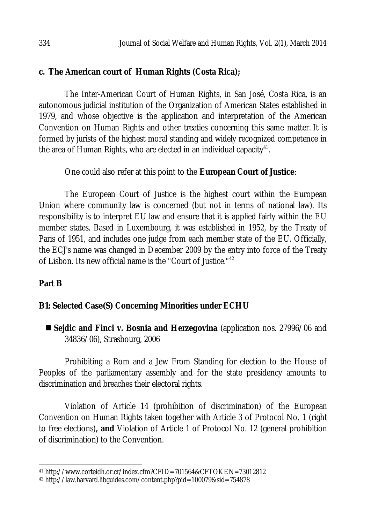# **c. The American court of Human Rights (Costa Rica);**

The Inter-American Court of Human Rights, in San José, Costa Rica, is an autonomous judicial institution of the Organization of American States established in 1979, and whose objective is the application and interpretation of the American Convention on Human Rights and other treaties concerning this same matter. It is formed by jurists of the highest moral standing and widely recognized competence in the area of Human Rights, who are elected in an individual capacity $^{\rm 41}$ .

One could also refer at this point to the **European Court of Justice**:

The European Court of Justice is the highest court within the European Union where community law is concerned (but not in terms of national law). Its responsibility is to interpret EU law and ensure that it is applied fairly within the EU member states. Based in Luxembourg, it was established in 1952, by the Treaty of Paris of 1951, and includes one judge from each member state of the EU. Officially, the ECJ's name was changed in December 2009 by the entry into force of the Treaty of Lisbon. Its new official name is the "Court of Justice."<sup>42</sup>

# **Part B**

# **B1: Selected Case(S) Concerning Minorities under ECHU**

■ Sejdic and Finci v. Bosnia and Herzegovina (application nos. 27996/06 and 34836/06), Strasbourg, 2006

Prohibiting a Rom and a Jew From Standing for election to the House of Peoples of the parliamentary assembly and for the state presidency amounts to discrimination and breaches their electoral rights.

Violation of Article 14 (prohibition of discrimination) of the European Convention on Human Rights taken together with Article 3 of Protocol No. 1 (right to free elections)**, and** Violation of Article 1 of Protocol No. 12 (general prohibition of discrimination) to the Convention.

 $\overline{a}$ <sup>41</sup> http://www.corteidh.or.cr/index.cfm?CFID=701564&CFTOKEN=73012812

<sup>42</sup> http://law.harvard.libguides.com/content.php?pid=100079&sid=754878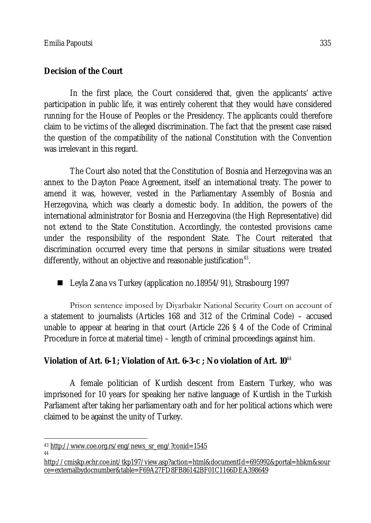## **Decision of the Court**

In the first place, the Court considered that, given the applicants' active participation in public life, it was entirely coherent that they would have considered running for the House of Peoples or the Presidency. The applicants could therefore claim to be victims of the alleged discrimination. The fact that the present case raised the question of the compatibility of the national Constitution with the Convention was irrelevant in this regard.

The Court also noted that the Constitution of Bosnia and Herzegovina was an annex to the Dayton Peace Agreement, itself an international treaty. The power to amend it was, however, vested in the Parliamentary Assembly of Bosnia and Herzegovina, which was clearly a domestic body. In addition, the powers of the international administrator for Bosnia and Herzegovina (the High Representative) did not extend to the State Constitution. Accordingly, the contested provisions came under the responsibility of the respondent State. The Court reiterated that discrimination occurred every time that persons in similar situations were treated differently, without an objective and reasonable justification $^{43}$ .

■ Leyla Zana vs Turkey (application no.18954/91), Strasbourg 1997

Prison sentence imposed by Diyarbakır National Security Court on account of a statement to journalists (Articles 168 and 312 of the Criminal Code) – accused unable to appear at hearing in that court (Article 226 § 4 of the Code of Criminal Procedure in force at material time) – length of criminal proceedings against him.

## **Violation of Art. 6-1 ; Violation of Art. 6-3-c ; No violation of Art. 10**<sup>44</sup>

A female politician of Kurdish descent from Eastern Turkey, who was imprisoned for 10 years for speaking her native language of Kurdish in the Turkish Parliament after taking her parliamentary oath and for her political actions which were claimed to be against the unity of Turkey.

 $\overline{a}$ <sup>43</sup> http://www.coe.org.rs/eng/news\_sr\_eng/?conid=1545 44

http://cmiskp.echr.coe.int/tkp197/view.asp?action=html&documentId=695992&portal=hbkm&sour ce=externalbydocnumber&table=F69A27FD8FB86142BF01C1166DEA398649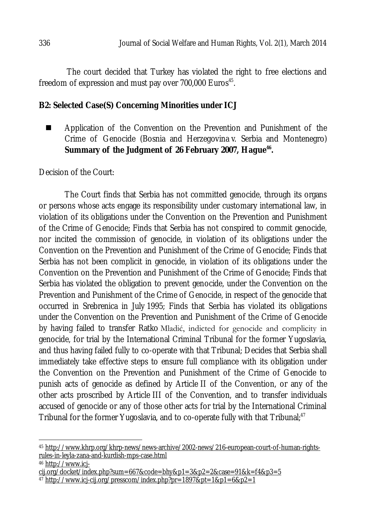The court decided that Turkey has violated the right to free elections and freedom of expression and must pay over 700,000  $E$ uros $^{45}$ .

## **B2: Selected Case(S) Concerning Minorities under ICJ**

**Application of the Convention on the Prevention and Punishment of the** Crime of Genocide (Bosnia and Herzegovina v. Serbia and Montenegro) **Summary of the Judgment of 26 February 2007, Hague<sup>46</sup> .**

Decision of the Court:

The Court finds that Serbia has not committed genocide, through its organs or persons whose acts engage its responsibility under customary international law, in violation of its obligations under the Convention on the Prevention and Punishment of the Crime of Genocide; Finds that Serbia has not conspired to commit genocide, nor incited the commission of genocide, in violation of its obligations under the Convention on the Prevention and Punishment of the Crime of Genocide; Finds that Serbia has not been complicit in genocide, in violation of its obligations under the Convention on the Prevention and Punishment of the Crime of Genocide; Finds that Serbia has violated the obligation to prevent genocide, under the Convention on the Prevention and Punishment of the Crime of Genocide, in respect of the genocide that occurred in Srebrenica in July 1995; Finds that Serbia has violated its obligations under the Convention on the Prevention and Punishment of the Crime of Genocide by having failed to transfer Ratko Mladić, indicted for genocide and complicity in genocide, for trial by the International Criminal Tribunal for the former Yugoslavia, and thus having failed fully to co-operate with that Tribunal; Decides that Serbia shall immediately take effective steps to ensure full compliance with its obligation under the Convention on the Prevention and Punishment of the Crime of Genocide to punish acts of genocide as defined by Article II of the Convention, or any of the other acts proscribed by Article III of the Convention, and to transfer individuals accused of genocide or any of those other acts for trial by the International Criminal Tribunal for the former Yugoslavia, and to co-operate fully with that Tribunal; $47$ 

<sup>46</sup> http://www.icj-

 $\overline{a}$ <sup>45</sup> http://www.khrp.org/khrp-news/news-archive/2002-news/216-european-court-of-human-rightsrules-in-leyla-zana-and-kurdish-mps-case.html

cij.org/docket/index.php?sum=667&code=bhy&p1=3&p2=2&case=91&k=f4&p3=5

 $47 \text{ http://www.ici-ci.org/presscom/index.php?pr=1897&pt=1&p1=6&p2=1$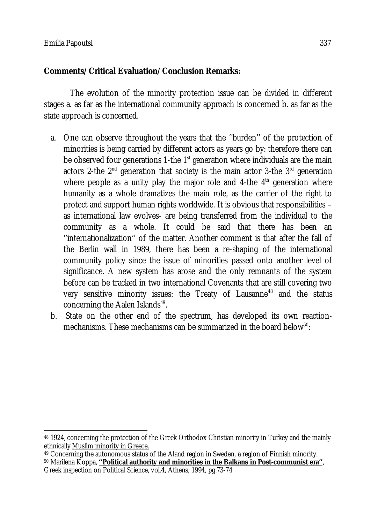## **Comments/Critical Evaluation/Conclusion Remarks:**

The evolution of the minority protection issue can be divided in different stages a. as far as the international community approach is concerned b. as far as the state approach is concerned.

- a. One can observe throughout the years that the ''burden'' of the protection of minorities is being carried by different actors as years go by: therefore there can be observed four generations 1-the  $1<sup>st</sup>$  generation where individuals are the main actors 2-the  $2<sup>nd</sup>$  generation that society is the main actor 3-the  $3<sup>rd</sup>$  generation where people as a unity play the major role and 4-the  $4<sup>th</sup>$  generation where humanity as a whole dramatizes the main role, as the carrier of the right to protect and support human rights worldwide. It is obvious that responsibilities – as international law evolves- are being transferred from the individual to the community as a whole. It could be said that there has been an ''internationalization'' of the matter. Another comment is that after the fall of the Berlin wall in 1989, there has been a re-shaping of the international community policy since the issue of minorities passed onto another level of significance. A new system has arose and the only remnants of the system before can be tracked in two international Covenants that are still covering two very sensitive minority issues: the Treaty of Lausanne<sup>48</sup> and the status concerning the Aalen Islands<sup>49</sup>.
- b. State on the other end of the spectrum, has developed its own reactionmechanisms. These mechanisms can be summarized in the board below<sup>50</sup>:

<sup>50</sup> Marilena Koppa, **''Political authority and minorities in the Balkans in Post-communist era''**, Greek inspection on Political Science, vol.4, Athens, 1994, pg.73-74

 $\overline{a}$ <sup>48</sup> 1924, concerning the protection of the Greek Orthodox Christian minority in Turkey and the mainly ethnically Muslim minority in Greece.

<sup>49</sup> Concerning the autonomous status of the Aland region in Sweden, a region of Finnish minority.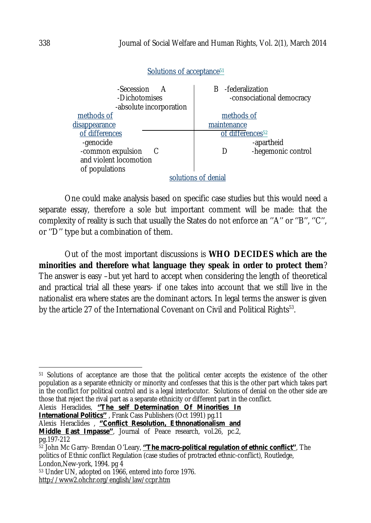| Solutions of acceptance <sup>51</sup>                       |                                                    |  |  |  |
|-------------------------------------------------------------|----------------------------------------------------|--|--|--|
| -Secession<br>A<br>-Dichotomises<br>-absolute incorporation | -federalization<br>B.<br>-consociational democracy |  |  |  |
| methods of                                                  | methods of                                         |  |  |  |
| <u>disappearance</u>                                        | maintenance                                        |  |  |  |
| of differences                                              | of differences <sup>52</sup>                       |  |  |  |
| -genocide                                                   | -apartheid                                         |  |  |  |
| -common expulsion<br>C                                      | -hegemonic control<br>D                            |  |  |  |
| and violent locomotion                                      |                                                    |  |  |  |
| of populations                                              |                                                    |  |  |  |
|                                                             | solutions of denial                                |  |  |  |

One could make analysis based on specific case studies but this would need a separate essay, therefore a sole but important comment will be made: that the complexity of reality is such that usually the States do not enforce an ''A'' or ''B'', ''C'', or ''D'' type but a combination of them.

Out of the most important discussions is **WHO DECIDES which are the minorities and therefore what language they speak in order to protect them**? The answer is easy –but yet hard to accept when considering the length of theoretical and practical trial all these years- if one takes into account that we still live in the nationalist era where states are the dominant actors. In legal terms the answer is given by the article 27 of the International Covenant on Civil and Political Rights $^{53}$ .

Alexis Heraclides, *''The self Determination Of Minorities In* 

*International Politics''* , Frank Cass Publishers (Oct 1991) pg.11

- Alexis Heraclides , *''Conflict Resolution, Ethnonationalism and Middle East Impasse''*, Journal of Peace research, vol.26, pc.2, pg.197-212
- <sup>52</sup> John Mc Garry- Brendan O'Leary, *''The macro-political regulation of ethnic conflict''*, The politics of Ethnic conflict Regulation (case studies of protracted ethnic-conflict), Routledge, London,New-york, 1994. pg 4 <sup>53</sup> Under UN, adopted on 1966, entered into force 1976.

http://www2.ohchr.org/english/law/ccpr.htm

 $\overline{a}$ 

<sup>51</sup> Solutions of acceptance are those that the political center accepts the existence of the other population as a separate ethnicity or minority and confesses that this is the other part which takes part in the conflict for political control and is a legal interlocutor. Solutions of denial on the other side are those that reject the rival part as a separate ethnicity or different part in the conflict.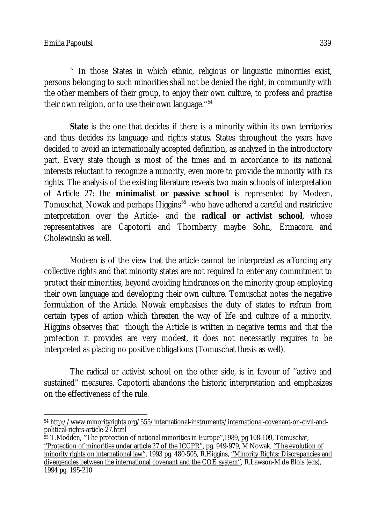'' In those States in which ethnic, religious or linguistic minorities exist, persons belonging to such minorities shall not be denied the right, in community with the other members of their group, to enjoy their own culture, to profess and practise their own religion, or to use their own language."<sup>54</sup>

**State** is the one that decides if there is a minority within its own territories and thus decides its language and rights status. States throughout the years have decided to avoid an internationally accepted definition, as analyzed in the introductory part. Every state though is most of the times and in accordance to its national interests reluctant to recognize a minority, even more to provide the minority with its rights. The analysis of the existing literature reveals two main schools of interpretation of Article 27: the **minimalist or passive school** is represented by Modeen, Tomuschat, Nowak and perhaps Higgins<sup>55</sup> -who have adhered a careful and restrictive interpretation over the Article- and the **radical or activist school**, whose representatives are Capotorti and Thornberry maybe Sohn, Ermacora and Cholewinski as well.

Modeen is of the view that the article cannot be interpreted as affording any collective rights and that minority states are not required to enter any commitment to protect their minorities, beyond avoiding hindrances on the minority group employing their own language and developing their own culture. Tomuschat notes the negative formulation of the Article. Nowak emphasises the duty of states to refrain from certain types of action which threaten the way of life and culture of a minority. Higgins observes that though the Article is written in negative terms and that the protection it provides are very modest, it does not necessarily requires to be interpreted as placing no positive obligations (Tomuschat thesis as well).

The radical or activist school on the other side, is in favour of ''active and sustained'' measures. Capotorti abandons the historic interpretation and emphasizes on the effectiveness of the rule.

 $\overline{\phantom{a}}$ <sup>54</sup> http://www.minorityrights.org/555/international-instruments/international-covenant-on-civil-andpolitical-rights-article-27.html

<sup>&</sup>lt;sup>55</sup> T.Modden, "The protection of national minorities in Europe", 1989, pg 108-109, Tomuschat, "Protection of minorities under article 27 of the ICCPR", pg. 949-979, M. Nowak, "The evolution of minority rights on international law", 1993 pg. 480-505, R.Higgins, "Minority Rights: Discrepancies and divergencies between the international covenant and the COE system", R.Lawson-M.de Blois (eds), 1994 pg. 195-210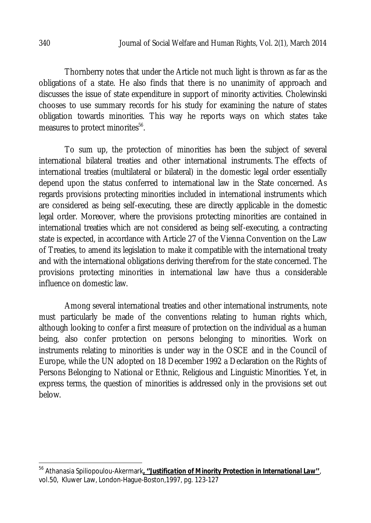Thornberry notes that under the Article not much light is thrown as far as the obligations of a state. He also finds that there is no unanimity of approach and discusses the issue of state expenditure in support of minority activities. Cholewinski chooses to use summary records for his study for examining the nature of states obligation towards minorities. This way he reports ways on which states take measures to protect minorites<sup>56</sup>.

To sum up, the protection of minorities has been the subject of several international bilateral treaties and other international instruments. The effects of international treaties (multilateral or bilateral) in the domestic legal order essentially depend upon the status conferred to international law in the State concerned. As regards provisions protecting minorities included in international instruments which are considered as being self-executing, these are directly applicable in the domestic legal order. Moreover, where the provisions protecting minorities are contained in international treaties which are not considered as being self-executing, a contracting state is expected, in accordance with Article 27 of the Vienna Convention on the Law of Treaties, to amend its legislation to make it compatible with the international treaty and with the international obligations deriving therefrom for the state concerned. The provisions protecting minorities in international law have thus a considerable influence on domestic law.

Among several international treaties and other international instruments, note must particularly be made of the conventions relating to human rights which, although looking to confer a first measure of protection on the individual as a human being, also confer protection on persons belonging to minorities. Work on instruments relating to minorities is under way in the OSCE and in the Council of Europe, while the UN adopted on 18 December 1992 a Declaration on the Rights of Persons Belonging to National or Ethnic, Religious and Linguistic Minorities. Yet, in express terms, the question of minorities is addressed only in the provisions set out below.

 $\overline{a}$ 

<sup>&</sup>lt;sup>56</sup> Athanasia Spiliopoulou-Akermark<u>, ''**Justification of Minority Protection in International Law''</u>,</u>** vol.50, Kluwer Law, London-Hague-Boston,1997, pg. 123-127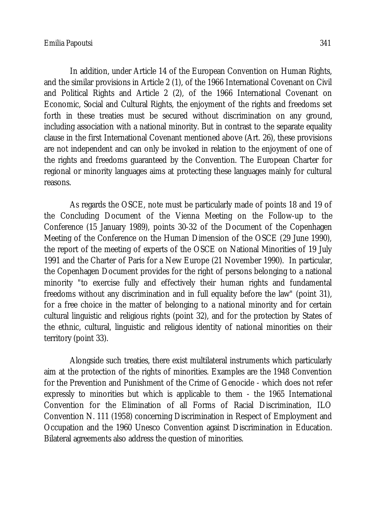In addition, under Article 14 of the European Convention on Human Rights, and the similar provisions in Article 2 (1), of the 1966 International Covenant on Civil and Political Rights and Article 2 (2), of the 1966 International Covenant on Economic, Social and Cultural Rights, the enjoyment of the rights and freedoms set forth in these treaties must be secured without discrimination on any ground, including association with a national minority. But in contrast to the separate equality clause in the first International Covenant mentioned above (Art. 26), these provisions are not independent and can only be invoked in relation to the enjoyment of one of the rights and freedoms guaranteed by the Convention. The European Charter for regional or minority languages aims at protecting these languages mainly for cultural reasons.

As regards the OSCE, note must be particularly made of points 18 and 19 of the Concluding Document of the Vienna Meeting on the Follow-up to the Conference (15 January 1989), points 30-32 of the Document of the Copenhagen Meeting of the Conference on the Human Dimension of the OSCE (29 June 1990), the report of the meeting of experts of the OSCE on National Minorities of 19 July 1991 and the Charter of Paris for a New Europe (21 November 1990). In particular, the Copenhagen Document provides for the right of persons belonging to a national minority "to exercise fully and effectively their human rights and fundamental freedoms without any discrimination and in full equality before the law" (point 31), for a free choice in the matter of belonging to a national minority and for certain cultural linguistic and religious rights (point 32), and for the protection by States of the ethnic, cultural, linguistic and religious identity of national minorities on their territory (point 33).

Alongside such treaties, there exist multilateral instruments which particularly aim at the protection of the rights of minorities. Examples are the 1948 Convention for the Prevention and Punishment of the Crime of Genocide - which does not refer expressly to minorities but which is applicable to them - the 1965 International Convention for the Elimination of all Forms of Racial Discrimination, ILO Convention N. 111 (1958) concerning Discrimination in Respect of Employment and Occupation and the 1960 Unesco Convention against Discrimination in Education. Bilateral agreements also address the question of minorities.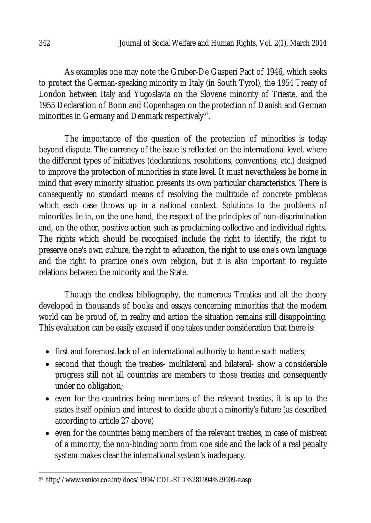As examples one may note the Gruber-De Gasperi Pact of 1946, which seeks to protect the German-speaking minority in Italy (in South Tyrol), the 1954 Treaty of London between Italy and Yugoslavia on the Slovene minority of Trieste, and the 1955 Declaration of Bonn and Copenhagen on the protection of Danish and German minorities in Germany and Denmark respectively $^{57}$ .

The importance of the question of the protection of minorities is today beyond dispute. The currency of the issue is reflected on the international level, where the different types of initiatives (declarations, resolutions, conventions, etc.) designed to improve the protection of minorities in state level. It must nevertheless be borne in mind that every minority situation presents its own particular characteristics. There is consequently no standard means of resolving the multitude of concrete problems which each case throws up in a national context. Solutions to the problems of minorities lie in, on the one hand, the respect of the principles of non-discrimination and, on the other, positive action such as proclaiming collective and individual rights. The rights which should be recognised include the right to identify, the right to preserve one's own culture, the right to education, the right to use one's own language and the right to practice one's own religion, but it is also important to regulate relations between the minority and the State.

Though the endless bibliography, the numerous Treaties and all the theory developed in thousands of books and essays concerning minorities that the modern world can be proud of, in reality and action the situation remains still disappointing. This evaluation can be easily excused if one takes under consideration that there is:

- $\bullet$  first and foremost lack of an international authority to handle such matters;
- second that though the treaties- multilateral and bilateral- show a considerable progress still not all countries are members to those treaties and consequently under no obligation;
- even for the countries being members of the relevant treaties, it is up to the states itself opinion and interest to decide about a minority's future (as described according to article 27 above)
- even for the countries being members of the relevant treaties, in case of mistreat of a minority, the non-binding norm from one side and the lack of a real penalty system makes clear the international system's inadequacy.

 $\overline{\phantom{a}}$ <sup>57</sup> http://www.venice.coe.int/docs/1994/CDL-STD%281994%29009-e.asp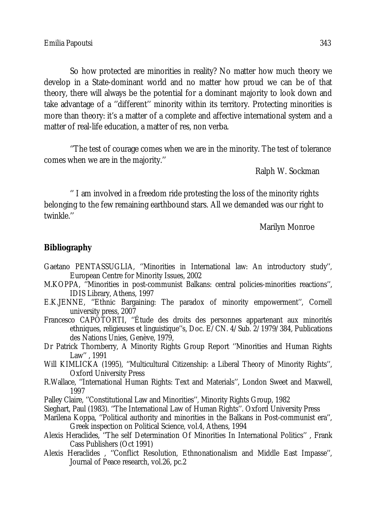So how protected are minorities in reality? No matter how much theory we develop in a State-dominant world and no matter how proud we can be of that theory, there will always be the potential for a dominant majority to look down and take advantage of a ''different'' minority within its territory. Protecting minorities is more than theory: it's a matter of a complete and affective international system and a matter of real-life education, a matter of res, non verba.

''The test of courage comes when we are in the minority. The test of tolerance comes when we are in the majority.''

Ralph W. Sockman

'' I am involved in a freedom ride protesting the loss of the minority rights belonging to the few remaining earthbound stars. All we demanded was our right to twinkle.''

Marilyn Monroe

## **Bibliography**

- Gaetano PENTASSUGLIA, ''Minorities in International law: An introductory study'', European Centre for Minority Issues, 2002
- M.KOPPA, ''Minorities in post-communist Balkans: central policies-minorities reactions'', IDIS Library, Athens, 1997
- E.K.JENNE, ''Ethnic Bargaining: The paradox of minority empowerment'', Cornell university press, 2007
- Francesco CAPOTORTI, ''Étude des droits des personnes appartenant aux minorités ethniques, religieuses et linguistique''s, Doc. E/CN. 4/Sub. 2/1979/384, Publications des Nations Unies, Genève, 1979,
- Dr Patrick Thornberry, A Minority Rights Group Report ''Minorities and Human Rights Law'' , 1991
- Will KIMLICKA (1995), ''Multicultural Citizenship: a Liberal Theory of Minority Rights'', Oxford University Press
- R.Wallace, ''International Human Rights: Text and Materials'', London Sweet and Maxwell, 1997
- Palley Claire, ''Constitutional Law and Minorities'', Minority Rights Group, 1982
- Sieghart, Paul (1983). ''The International Law of Human Rights''. Oxford University Press
- Marilena Koppa, ''Political authority and minorities in the Balkans in Post-communist era'', Greek inspection on Political Science, vol.4, Athens, 1994
- Alexis Heraclides, ''The self Determination Of Minorities In International Politics'' , Frank Cass Publishers (Oct 1991)
- Alexis Heraclides , ''Conflict Resolution, Ethnonationalism and Middle East Impasse'', Journal of Peace research, vol.26, pc.2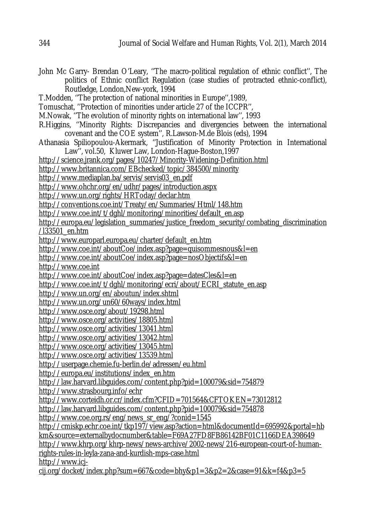- John Mc Garry- Brendan O'Leary, ''The macro-political regulation of ethnic conflict'', The politics of Ethnic conflict Regulation (case studies of protracted ethnic-conflict), Routledge, London,New-york, 1994
- T.Modden, ''The protection of national minorities in Europe'',1989,
- Tomuschat, ''Protection of minorities under article 27 of the ICCPR'',
- M.Nowak, ''The evolution of minority rights on international law'', 1993
- R.Higgins, ''Minority Rights: Discrepancies and divergencies between the international covenant and the COE system'', R.Lawson-M.de Blois (eds), 1994
- Athanasia Spiliopoulou-Akermark, ''Justification of Minority Protection in International Law'', vol.50, Kluwer Law, London-Hague-Boston,1997

http://science.jrank.org/pages/10247/Minority-Widening-Definition.html

http://www.britannica.com/EBchecked/topic/384500/minority

http://www.mediaplan.ba/servis/servis03\_en.pdf

http://www.ohchr.org/en/udhr/pages/introduction.aspx

http://www.un.org/rights/HRToday/declar.htm

http://conventions.coe.int/Treaty/en/Summaries/Html/148.htm

http://www.coe.int/t/dghl/monitoring/minorities/default\_en.asp

http://europa.eu/legislation\_summaries/justice\_freedom\_security/combating\_discrimination

/l33501\_en.htm

http://www.europarl.europa.eu/charter/default\_en.htm

http://www.coe.int/aboutCoe/index.asp?page=quisommesnous&l=en

http://www.coe.int/aboutCoe/index.asp?page=nosObjectifs&l=en

http://www.coe.int

http://www.coe.int/aboutCoe/index.asp?page=datesCles&l=en

http://www.coe.int/t/dghl/monitoring/ecri/about/ECRI\_statute\_en.asp

http://www.un.org/en/aboutun/index.shtml

http://www.un.org/un60/60ways/index.html

http://www.osce.org/about/19298.html

http://www.osce.org/activities/18805.html

http://www.osce.org/activities/13041.html

http://www.osce.org/activities/13042.html

http://www.osce.org/activities/13045.html

http://www.osce.org/activities/13539.html

http://userpage.chemie.fu-berlin.de/adressen/eu.html

http://europa.eu/institutions/index\_en.htm

http://law.harvard.libguides.com/content.php?pid=100079&sid=754879

http://www.strasbourg.info/echr

http://www.corteidh.or.cr/index.cfm?CFID=701564&CFTOKEN=73012812

http://law.harvard.libguides.com/content.php?pid=100079&sid=754878

http://www.coe.org.rs/eng/news\_sr\_eng/?conid=1545

http://cmiskp.echr.coe.int/tkp197/view.asp?action=html&documentId=695992&portal=hb km&source=externalbydocnumber&table=F69A27FD8FB86142BF01C1166DEA398649

http://www.khrp.org/khrp-news/news-archive/2002-news/216-european-court-of-humanrights-rules-in-leyla-zana-and-kurdish-mps-case.html

http://www.icj-

cij.org/docket/index.php?sum=667&code=bhy&p1=3&p2=2&case=91&k=f4&p3=5